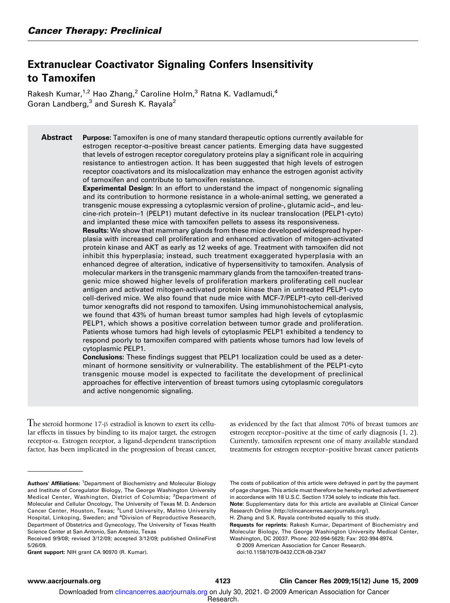## Extranuclear Coactivator Signaling Confers Insensitivity to Tamoxifen

Rakesh Kumar,<sup>1,2</sup> Hao Zhang,<sup>2</sup> Caroline Holm,<sup>3</sup> Ratna K. Vadlamudi,<sup>4</sup> Goran Landberg,<sup>3</sup> and Suresh K. Rayala<sup>2</sup>

Abstract Purpose: Tamoxifen is one of many standard therapeutic options currently available for estrogen receptor-α–positive breast cancer patients. Emerging data have suggested that levels of estrogen receptor coregulatory proteins play a significant role in acquiring resistance to antiestrogen action. It has been suggested that high levels of estrogen receptor coactivators and its mislocalization mayenhance the estrogen agonist activity of tamoxifen and contribute to tamoxifen resistance.

> Experimental Design: In an effort to understand the impact of nongenomic signaling and its contribution to hormone resistance in a whole-animal setting, we generated a transgenic mouse expressing a cytoplasmic version of proline-, glutamic acid–, and leucine-rich protein–1 (PELP1) mutant defective in its nuclear translocation (PELP1-cyto) and implanted these mice with tamoxifen pellets to assess its responsiveness.

> Results: We show that mammary glands from these mice developed widespread hyperplasia with increased cell proliferation and enhanced activation of mitogen-activated protein kinase and AKT as early as 12 weeks of age. Treatment with tamoxifen did not inhibit this hyperplasia; instead, such treatment exaggerated hyperplasia with an enhanced degree of alteration, indicative of hypersensitivity to tamoxifen. Analysis of molecular markers in the transgenic mammaryglands from the tamoxifen-treated transgenic mice showed higher levels of proliferation markers proliferating cell nuclear antigen and activated mitogen-activated protein kinase than in untreated PELP1-cyto cell-derived mice. We also found that nude mice with MCF-7/PELP1-cyto cell-derived tumor xenografts did not respond to tamoxifen. Using immunohistochemical analysis, we found that 43% of human breast tumor samples had high levels of cytoplasmic PELP1, which shows a positive correlation between tumor grade and proliferation. Patients whose tumors had high levels of cytoplasmic PELP1 exhibited a tendency to respond poorly to tamoxifen compared with patients whose tumors had low levels of cytoplasmic PELP1.

> Conclusions: These findings suggest that PELP1 localization could be used as a determinant of hormone sensitivity or vulnerability. The establishment of the PELP1-cyto transgenic mouse model is expected to facilitate the development of preclinical approaches for effective intervention of breast tumors using cytoplasmic coregulators and active nongenomic signaling.

The steroid hormone 17-<sup>β</sup> estradiol is known to exert its cellular effects in tissues by binding to its major target, the estrogen receptor-α. Estrogen receptor, a ligand-dependent transcription factor, has been implicated in the progression of breast cancer, as evidenced by the fact that almost 70% of breast tumors are estrogen receptor–positive at the time of early diagnosis (1, 2). Currently, tamoxifen represent one of many available standard treatments for estrogen receptor–positive breast cancer patients

Grant support: NIH grant CA 90970 (R. Kumar).

The costs of publication of this article were defrayed in part by the payment of page charges. This article must therefore be hereby marked advertisement in accordance with 18 U.S.C. Section 1734 solely to indicate this fact. Note: Supplementary data for this article are available at Clinical Cancer Research Online (http://clincancerres.aacriournals.org/).

H. Zhang and S.K. Rayala contributed equally to this study.

Requests for reprints: Rakesh Kumar, Department of Biochemistryand Molecular Biology, The George Washington University Medical Center, Washington, DC 20037. Phone: 202-994-5629; Fax: 202-994-8974.

© 2009 American Association for Cancer Research. doi:10.1158/1078-0432.CCR-08-2347

Downloaded from clincancerres.aacrjournals.org on July 30, 2021. © 2009 American Association for Cancer

Research.

Authors' Affiliations: <sup>1</sup>Department of Biochemistry and Molecular Biology and Institute of Coregulator Biology, The George Washington University Medical Center, Washington, District of Columbia; <sup>2</sup>Department of Molecular and Cellular Oncology, The University of Texas M. D. Anderson Cancer Center, Houston, Texas; <sup>3</sup>Lund University, Malmo University Hospital, Linkoping, Sweden; and <sup>4</sup>Division of Reproductive Research, Department of Obstetrics and Gynecology, The University of Texas Health Science Center at San Antonio, San Antonio, Texas

Received 9/9/08; revised 3/12/09; accepted 3/12/09; published OnlineFirst 5/26/09.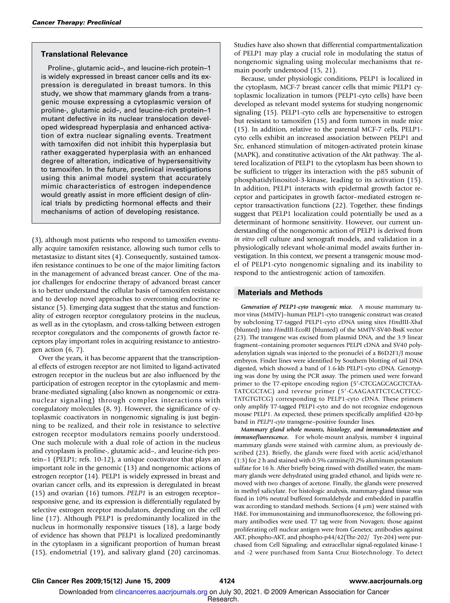#### Translational Relevance

Proline-, glutamic acid–, and leucine-rich protein–1 is widely expressed in breast cancer cells and its expression is deregulated in breast tumors. In this study, we show that mammary glands from a transgenic mouse expressing a cytoplasmic version of proline-, glutamic acid–, and leucine-rich protein–1 mutant defective in its nuclear translocation developed widespread hyperplasia and enhanced activation of extra nuclear signaling events. Treatment with tamoxifen did not inhibit this hyperplasia but rather exaggerated hyperplasia with an enhanced degree of alteration, indicative of hypersensitivity to tamoxifen. In the future, preclinical investigations using this animal model system that accurately mimic characteristics of estrogen independence would greatly assist in more efficient design of clinical trials by predicting hormonal effects and their mechanisms of action of developing resistance.

(3), although most patients who respond to tamoxifen eventually acquire tamoxifen resistance, allowing such tumor cells to metastasize to distant sites (4). Consequently, sustained tamoxifen resistance continues to be one of the major limiting factors in the management of advanced breast cancer. One of the major challenges for endocrine therapy of advanced breast cancer is to better understand the cellular basis of tamoxifen resistance and to develop novel approaches to overcoming endocrine resistance (5). Emerging data suggest that the status and functionality of estrogen receptor coregulatory proteins in the nucleus, as well as in the cytoplasm, and cross-talking between estrogen receptor coregulators and the components of growth factor receptors play important roles in acquiring resistance to antiestrogen action (6, 7).

Over the years, it has become apparent that the transcriptional effects of estrogen receptor are not limited to ligand-activated estrogen receptor in the nucleus but are also influenced by the participation of estrogen receptor in the cytoplasmic and membrane-mediated signaling (also known as nongenomic or extranuclear signaling) through complex interactions with coregulatory molecules (8, 9). However, the significance of cytoplasmic coactivators in nongenomic signaling is just beginning to be realized, and their role in resistance to selective estrogen receptor modulators remains poorly understood. One such molecule with a dual role of action in the nucleus and cytoplasm is proline-, glutamic acid–, and leucine-rich protein–1 (PELP1; refs. 10-12), a unique coactivator that plays an important role in the genomic (13) and nongenomic actions of estrogen receptor (14). PELP1 is widely expressed in breast and ovarian cancer cells, and its expression is deregulated in breast (15) and ovarian (16) tumors. PELP1 is an estrogen receptor– responsive gene, and its expression is differentially regulated by selective estrogen receptor modulators, depending on the cell line (17). Although PELP1 is predominantly localized in the nucleus in hormonally responsive tissues (18), a large body of evidence has shown that PELP1 is localized predominantly in the cytoplasm in a significant proportion of human breast (15), endometrial (19), and salivary gland (20) carcinomas.

Studies have also shown that differential compartmentalization of PELP1 may play a crucial role in modulating the status of nongenomic signaling using molecular mechanisms that remain poorly understood (15, 21).

Because, under physiologic conditions, PELP1 is localized in the cytoplasm, MCF-7 breast cancer cells that mimic PELP1 cytoplasmic localization in tumors (PELP1-cyto cells) have been developed as relevant model systems for studying nongenomic signaling (15). PELP1-cyto cells are hypersensitive to estrogen but resistant to tamoxifen (15) and form tumors in nude mice (15). In addition, relative to the parental MCF-7 cells, PELP1 cyto cells exhibit an increased association between PELP1 and Src, enhanced stimulation of mitogen-activated protein kinase (MAPK), and constitutive activation of the Akt pathway. The altered localization of PELP1 to the cytoplasm has been shown to be sufficient to trigger its interaction with the p85 subunit of phosphatidylinositol-3-kinase, leading to its activation (15). In addition, PELP1 interacts with epidermal growth factor receptor and participates in growth factor–mediated estrogen receptor transactivation functions (22). Together, these findings suggest that PELP1 localization could potentially be used as a determinant of hormone sensitivity. However, our current understanding of the nongenomic action of PELP1 is derived from in vitro cell culture and xenograft models, and validation in a physiologically relevant whole-animal model awaits further investigation. In this context, we present a transgenic mouse model of PELP1-cyto nongenomic signaling and its inability to respond to the antiestrogenic action of tamoxifen.

#### Materials and Methods

Generation of PELP1-cyto transgenic mice. A mouse mammary tumor virus (MMTV)–human PELP1-cyto transgenic construct was created by subcloning T7-tagged PELP1-cyto cDNA using sites HindIII-XbaI (blunted) into HindIII-EcoRI (blunted) of the MMTV-SV40-BssK vector (23). The transgene was excised from plasmid DNA, and the 3.9 linear fragment-containing promoter sequences PELPI cDNA and SV40 polyadenylation signals was injected to the pronuclei of a B6D2F1/J mouse embryos. Finder lines were identified by Southern blotting of tail DNA digested, which showed a band of 1.6-kb PELP1-cyto cDNA. Genotyping was done by using the PCR assay. The primers used were forward primer to the T7-epitope encoding region (5′-CTCGAGCAGCTCTAA-TATCGCTAC) and reverse primer (5′-CAAGAATTCTCACTTCC-TATGTGTCG) corresponding to PELP1-cyto cDNA. These primers only amplify T7-tagged PELP1-cyto and do not recognize endogenous mouse PELP1. As expected, these primers specifically amplified 420-bp band in PELP1-cyto transgene–positive founder lines.

Mammary gland whole mounts, histology, and immunodetection and immunofluorescence. For whole-mount analysis, number 4 inguinal mammary glands were stained with carmine alum, as previously described (23). Briefly, the glands were fixed with acetic acid/ethanol (1:3) for 2 h and stained with 0.5% carmine/0.2% aluminum potassium sulfate for 16 h. After briefly being rinsed with distilled water, the mammary glands were dehydrated using graded ethanol, and lipids were removed with two changes of acetone. Finally, the glands were preserved in methyl salicylate. For histologic analysis, mammary-gland tissue was fixed in 10% neutral buffered formaldehyde and embedded in paraffin wax according to standard methods. Sections  $(4 \mu m)$  were stained with H&E. For immunostaining and immunofluorescence, the following primary antibodies were used. T7 tag were from Novagen; those against proliferating cell nuclear antigen were from Genetex; antibodies against AKT, phospho-AKT, and phospho-p44/42(Thr-202/ Tyr-204) were purchased from Cell Signaling; and extracellular signal-regulated kinase-1 and -2 were purchased from Santa Cruz Biotechnology. To detect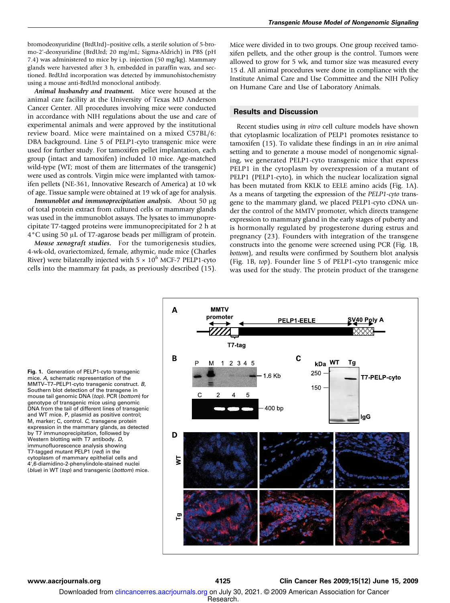bromodeoxyuridine (BrdUrd)–positive cells, a sterile solution of 5-bromo-2'-deoxyuridine (BrdUrd; 20mg/mL; Sigma-Aldrich) in PBS (pH 7.4) was administered to mice by i.p. injection (50mg/kg). Mammary glands were harvested after 3 h, embedded in paraffin wax, and sectioned. BrdUrd incorporation was detected by immunohistochemistry using a mouse anti-BrdUrd monoclonal antibody.

Animal husbandry and treatment. Mice were housed at the animal care facility at the University of Texas MD Anderson Cancer Center. All procedures involving mice were conducted in accordance with NIH regulations about the use and care of experimental animals and were approved by the institutional review board. Mice were maintained on a mixed C57BL/6: DBA background. Line 5 of PELP1-cyto transgenic mice were used for further study. For tamoxifen pellet implantation, each group (intact and tamoxifen) included 10mice. Age-matched wild-type (WT; most of them are littermates of the transgenic) were used as controls. Virgin mice were implanted with tamoxifen pellets (NE-361, Innovative Research of America) at 10wk of age. Tissue sample were obtained at 19 wk of age for analysis.

Immunoblot and immunoprecipitation analysis. About 50 μg of total protein extract from cultured cells or mammary glands was used in the immunoblot assays. The lysates to immunoprecipitate T7-tagged proteins were immunoprecipitated for 2 h at 4°C using 50 μL of T7-agarose beads per milligram of protein.

Mouse xenograft studies. For the tumorigenesis studies, 4-wk-old, ovariectomized, female, athymic, nude mice (Charles River) were bilaterally injected with  $5 \times 10^6$  MCF-7 PELP1-cyto cells into the mammary fat pads, as previously described (15). Mice were divided in to two groups. One group received tamoxifen pellets, and the other group is the control. Tumors were allowed to grow for 5 wk, and tumor size was measured every 15 d. All animal procedures were done in compliance with the Institute Animal Care and Use Committee and the NIH Policy on Humane Care and Use of Laboratory Animals.

#### Results and Discussion

Recent studies using in vitro cell culture models have shown that cytoplasmic localization of PELP1 promotes resistance to tamoxifen (15). To validate these findings in an in vivo animal setting and to generate a mouse model of nongenomic signaling, we generated PELP1-cyto transgenic mice that express PELP1 in the cytoplasm by overexpression of a mutant of PELP1 (PELP1-cyto), in which the nuclear localization signal has been mutated from KKLK to EELE amino acids (Fig. 1A). As a means of targeting the expression of the PELP1-cyto transgene to the mammary gland, we placed PELP1-cyto cDNA under the control of the MMTV promoter, which directs transgene expression to mammary gland in the early stages of puberty and is hormonally regulated by progesterone during estrus and pregnancy (23). Founders with integration of the transgene constructs into the genome were screened using PCR (Fig. 1B, bottom), and results were confirmed by Southern blot analysis (Fig. 1B, top). Founder line 5 of PELP1-cyto transgenic mice was used for the study. The protein product of the transgene

Fig. 1. Generation of PELP1-cyto transgenic mice. A, schematic representation of the MMTV–T7–PELP1-cyto transgenic construct. B, Southern blot detection of the transgene in mouse tail genomic DNA (top). PCR (bottom) for genotype of transgenic mice using genomic DNA from the tail of different lines of transgenic and WT mice. P, plasmid as positive control; M, marker; C, control. C, transgene protein expression in the mammary glands, as detected by T7 immunoprecipitation, followed by Western blotting with T7 antibody. D, immunofluorescence analysis showing T7-tagged mutant PELP1 (red) in the cytoplasm of mammary epithelial cells and 4',6-diamidino-2-phenylindole-stained nuclei (blue) in WT (top) and transgenic (bottom) mice.



www.aacriournals.org example and the state of 4125 Clin Cancer Res 2009;15(12) June 15, 2009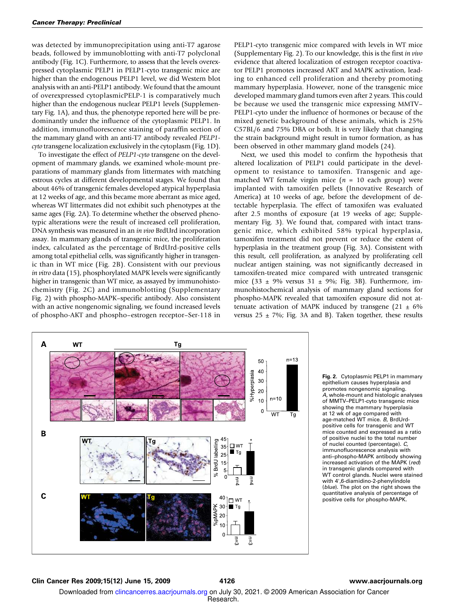was detected by immunoprecipitation using anti-T7 agarose beads, followed by immunoblotting with anti-T7 polyclonal antibody (Fig. 1C). Furthermore, to assess that the levels overexpressed cytoplasmic PELP1 in PELP1-cyto transgenic mice are higher than the endogenous PELP1 level, we did Western blot analysis with an anti-PELP1 antibody. We found that the amount of overexpressed cytoplasmicPELP-1 is comparatively much higher than the endogenous nuclear PELP1 levels (Supplementary Fig. 1A), and thus, the phenotype reported here will be predominantly under the influence of the cytoplasmic PELP1. In addition, immunofluorescence staining of paraffin section of the mammary gland with an anti-T7 antibody revealed PELP1 cyto transgene localization exclusively in the cytoplasm (Fig. 1D).

To investigate the effect of PELP1-cyto transgene on the development of mammary glands, we examined whole-mount preparations of mammary glands from littermates with matching estrous cycles at different developmental stages. We found that about 46% of transgenic females developed atypical hyperplasia at 12 weeks of age, and this became more aberrant as mice aged, whereas WT littermates did not exhibit such phenotypes at the same ages (Fig. 2A). To determine whether the observed phenotypic alterations were the result of increased cell proliferation, DNA synthesis was measured in an in vivo BrdUrd incorporation assay. In mammary glands of transgenic mice, the proliferation index, calculated as the percentage of BrdUrd-positive cells among total epithelial cells, was significantly higher in transgenic than in WT mice (Fig. 2B). Consistent with our previous in vitro data (15), phosphorylated MAPK levels were significantly higher in transgenic than WT mice, as assayed by immunohistochemistry (Fig. 2C) and immunoblotting (Supplementary Fig. 2) with phospho-MAPK–specific antibody. Also consistent with an active nongenomic signaling, we found increased levels of phospho-AKT and phospho–estrogen receptor–Ser-118 in



PELP1-cyto transgenic mice compared with levels in WT mice (Supplementary Fig. 2). To our knowledge, this is the first in vivo evidence that altered localization of estrogen receptor coactivator PELP1 promotes increased AKT and MAPK activation, leading to enhanced cell proliferation and thereby promoting mammary hyperplasia. However, none of the transgenic mice developed mammary gland tumors even after 2 years. This could be because we used the transgenic mice expressing MMTV– PELP1-cyto under the influence of hormones or because of the mixed genetic background of these animals, which is 25% C57BL/6 and 75% DBA or both. It is very likely that changing the strain background might result in tumor formation, as has been observed in other mammary gland models (24).

Next, we used this model to confirm the hypothesis that altered localization of PELP1 could participate in the development to resistance to tamoxifen. Transgenic and agematched WT female virgin mice ( $n = 10$  each group) were implanted with tamoxifen pellets (Innovative Research of America) at 10 weeks of age, before the development of detectable hyperplasia. The effect of tamoxifen was evaluated after 2.5 months of exposure (at 19 weeks of age; Supplementary Fig. 3). We found that, compared with intact transgenic mice, which exhibited 58% typical hyperplasia, tamoxifen treatment did not prevent or reduce the extent of hyperplasia in the treatment group (Fig. 3A). Consistent with this result, cell proliferation, as analyzed by proliferating cell nuclear antigen staining, was not significantly decreased in tamoxifen-treated mice compared with untreated transgenic mice (33  $\pm$  9% versus 31  $\pm$  9%; Fig. 3B). Furthermore, immunohistochemical analysis of mammary gland sections for phospho-MAPK revealed that tamoxifen exposure did not attenuate activation of MAPK induced by transgene  $(21 \pm 6\%)$ versus  $25 \pm 7\%$ ; Fig. 3A and B). Taken together, these results

> Fig. 2. Cytoplasmic PELP1 in mammarv epithelium causes hyperplasia and promotes nongenomic signaling. A, whole-mount and histologic analyses of MMTV–PELP1-cyto transgenic mice showing the mammary hyperplasia at 12 wk of age compared with age-matched WT mice. B, BrdUrdpositive cells for transgenic and WT mice counted and expressed as a ratio of positive nuclei to the total number of nuclei counted (percentage). C, immunofluorescence analysis with anti-phospho-MAPK antibody showing increased activation of the MAPK (red) in transgenic glands compared with WT control glands. Nuclei were stained with 4',6-diamidino-2-phenylindole (blue). The plot on the right shows the quantitative analysis of percentage of positive cells for phospho-MAPK.

#### Clin Cancer Res 2009;15(12) June 15, 2009 4126 www.aacrjournals.org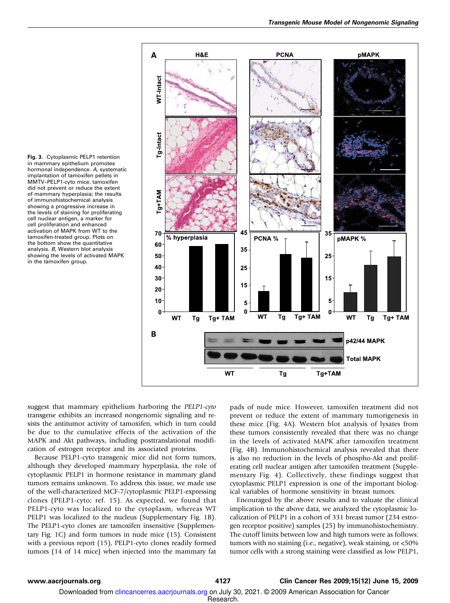Fig. 3. Cytoplasmic PELP1 retention in mammary epithelium promotes hormonal independence. A, systematic implantation of tamoxifen pellets in MMTV–PELP1-cyto mice. tamoxifen did not prevent or reduce the extent of mammary hyperplasia; the results of immunohistochemical analysis showing a progressive increase in the levels of staining for proliferating cell nuclear antigen, a marker for cell proliferation and enhanced activation of MAPK from WT to the tamoxifen-treated group. Plots on the bottom show the quantitative analysis. B, Western blot analysis showing the levels of activated MAPK in the tamoxifen group.



suggest that mammary epithelium harboring the PELP1-cyto transgene exhibits an increased nongenomic signaling and resists the antitumor activity of tamoxifen, which in turn could be due to the cumulative effects of the activation of the MAPK and Akt pathways, including posttranslational modification of estrogen receptor and its associated proteins.

Because PELP1-cyto transgenic mice did not form tumors, although they developed mammary hyperplasia, the role of cytoplasmic PELP1 in hormone resistance in mammary gland tumors remains unknown. To address this issue, we made use of the well-characterized MCF-7/cytoplasmic PELP1-expressing clones (PELP1-cyto; ref. 15). As expected, we found that PELP1-cyto was localized to the cytoplasm, whereas WT PELP1 was localized to the nucleus (Supplementary Fig. 1B). The PELP1-cyto clones are tamoxifen insensitive (Supplementary Fig. 1C) and form tumors in nude mice (15). Consistent with a previous report (15), PELP1-cyto clones readily formed tumors (14 of 14 mice) when injected into the mammary fat

pads of nude mice. However, tamoxifen treatment did not prevent or reduce the extent of mammary tumorigenesis in these mice (Fig. 4A). Western blot analysis of lysates from these tumors consistently revealed that there was no change in the levels of activated MAPK after tamoxifen treatment (Fig. 4B). Immunohistochemical analysis revealed that there is also no reduction in the levels of phospho-Akt and proliferating cell nuclear antigen after tamoxifen treatment (Supplementary Fig. 4). Collectively, these findings suggest that cytoplasmic PELP1 expression is one of the important biological variables of hormone sensitivity in breast tumors.

Encouraged by the above results and to valuate the clinical implication to the above data, we analyzed the cytoplasmic localization of PELP1 in a cohort of 331 breast tumor (234 estrogen receptor positive) samples (25) by immunohistochemistry. The cutoff limits between low and high tumors were as follows: tumors with no staining (i.e., negative), weak staining, or <50% tumor cells with a strong staining were classified as low PELP1,

#### www.aacrjournals.org 4127 Clin Cancer Res 2009;15(12) June 15, 2009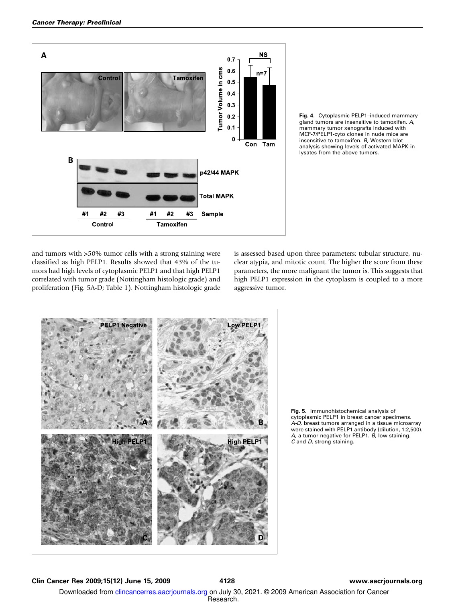

Fig. 4. Cytoplasmic PELP1–induced mammary gland tumors are insensitive to tamoxifen. A, mammary tumor xenografts induced with MCF-7/PELP1-cyto clones in nude mice are insensitive to tamoxifen. B, Western blot analysis showing levels of activated MAPK in lysates from the above tumors.

and tumors with >50% tumor cells with a strong staining were classified as high PELP1. Results showed that 43% of the tumors had high levels of cytoplasmic PELP1 and that high PELP1 correlated with tumor grade (Nottingham histologic grade) and proliferation (Fig. 5A-D; Table 1). Nottingham histologic grade is assessed based upon three parameters: tubular structure, nuclear atypia, and mitotic count. The higher the score from these parameters, the more malignant the tumor is. This suggests that high PELP1 expression in the cytoplasm is coupled to a more aggressive tumor.



Fig. 5. Immunohistochemical analysis of cytoplasmic PELP1 in breast cancer specimens. A-D, breast tumors arranged in a tissue microarray were stained with PELP1 antibody(dilution, 1:2,500). A, a tumor negative for PELP1.  $B$ , low staining. C and D, strong staining.

#### Clin Cancer Res 2009;15(12) June 15, 2009 4128 www.aacrjournals.org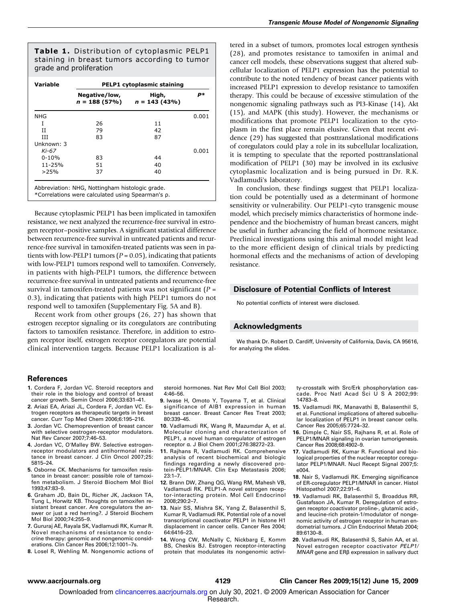Table 1. Distribution of cytoplasmic PELP1 staining in breast tumors according to tumor grade and proliferation

| <b>Variable</b> | PELP1 cytoplasmic staining |                                          |            |
|-----------------|----------------------------|------------------------------------------|------------|
|                 | Negative/low,              | High,<br>$n = 188(57\%)$ $n = 143(43\%)$ | <b>p</b> * |
| <b>NHG</b>      |                            |                                          | 0.001      |
| I               | 26                         | 11                                       |            |
| TΤ              | 79                         | 42                                       |            |
| Ш               | 83                         | 87                                       |            |
| Unknown: 3      |                            |                                          |            |
| Ki-67           |                            |                                          | 0.001      |
| $0 - 10%$       | 83                         | 44                                       |            |
| $11 - 25%$      | 51                         | 40                                       |            |
| >25%            | 37                         | 40                                       |            |

Abbreviation: NHG, Nottingham histologic grade.

\*Correlations were calculated using Spearman's ρ.

Because cytoplasmic PELP1 has been implicated in tamoxifen resistance, we next analyzed the recurrence-free survival in estrogen receptor–positive samples. A significant statistical difference between recurrence-free survival in untreated patients and recurrence-free survival in tamoxifen-treated patients was seen in patients with low-PELP1 tumors ( $P = 0.05$ ), indicating that patients with low-PELP1 tumors respond well to tamoxifen. Conversely, in patients with high-PELP1 tumors, the difference between recurrence-free survival in untreated patients and recurrence-free survival in tamoxifen-treated patients was not significant ( $P =$ 0.3), indicating that patients with high PELP1 tumors do not respond well to tamoxifen (Supplementary Fig. 5A and B).

Recent work from other groups (26, 27) has shown that estrogen receptor signaling or its coregulators are contributing factors to tamoxifen resistance. Therefore, in addition to estrogen receptor itself, estrogen receptor coregulators are potential clinical intervention targets. Because PELP1 localization is altered in a subset of tumors, promotes local estrogen synthesis (28), and promotes resistance to tamoxifen in animal and cancer cell models, these observations suggest that altered subcellular localization of PELP1 expression has the potential to contribute to the noted tendency of breast cancer patients with increased PELP1 expression to develop resistance to tamoxifen therapy. This could be because of excessive stimulation of the nongenomic signaling pathways such as PI3-Kinase (14), Akt (15), and MAPK (this study). However, the mechanisms or modifications that promote PELP1 localization to the cytoplasm in the first place remain elusive. Given that recent evidence (29) has suggested that posttranslational modifications of coregulators could play a role in its subcellular localization, it is tempting to speculate that the reported posttranslational modification of PELP1 (30) may be involved in its exclusive cytoplasmic localization and is being pursued in Dr. R.K. Vadlamudi's laboratory.

In conclusion, these findings suggest that PELP1 localization could be potentially used as a determinant of hormone sensitivity or vulnerability. Our PELP1-cyto transgenic mouse model, which precisely mimics characteristics of hormone independence and the biochemistry of human breast cancers, might be useful in further advancing the field of hormone resistance. Preclinical investigations using this animal model might lead to the more efficient design of clinical trials by predicting hormonal effects and the mechanisms of action of developing resistance.

#### Disclosure of Potential Conflicts of Interest

No potential conflicts of interest were disclosed.

### Acknowledgments

We thank Dr. Robert D. Cardiff, University of California, Davis, CA 95616, for analyzing the slides.

#### References

- 1. Cordera F, Jordan VC. Steroid receptors and their role in the biologyand control of breast cancer growth. Semin Oncol 2006;33:631–41.
- 2. Ariazi EA, Ariazi JL, Cordera F, Jordan VC. Estrogen receptors as therapeutic targets in breast cancer. Curr Top Med Chem 2006;6:195–216.
- 3. Jordan VC. Chemoprevention of breast cancer with selective oestrogen-receptor modulators. Nat Rev Cancer 2007;7:46–53.
- 4. Jordan VC, O'Malley BW. Selective estrogenreceptor modulators and antihormonal resistance in breast cancer. J Clin Oncol 2007;25: 5815–24.
- 5. Osborne CK. Mechanisms for tamoxifen resistance in breast cancer: possible role of tamoxifen metabolism. J Steroid Biochem Mol Biol 1993;47:83–9.
- 6. Graham JD, Bain DL, Richer JK, Jackson TA, Tung L, Horwitz KB. Thoughts on tamoxifen resistant breast cancer. Are coregulators the answer or just a red herring?. J Steroid Biochem Mol Biol 2000;74:255–9.
- 7. Gururaj AE, Rayala SK, Vadlamudi RK, Kumar R. Novel mechanisms of resistance to endo‐ crine therapy: genomic and nongenomic considerations. Clin Cancer Res 2006;12:1001–7s.
- 8. Losel R, Wehling M. Nongenomic actions of

steroid hormones. Nat Rev Mol Cell Biol 2003; 4:46–56.

- 9. Iwase H, Omoto Y, Toyama T, et al. Clinical significance of AIB1 expression in human breast cancer. Breast Cancer Res Treat 2003; 80:339–45.
- 10. Vadlamudi RK, Wang R, Mazumdar A, et al. Molecular cloning and characterization of PELP1, a novel human coregulator of estrogen receptor α. J Biol Chem 2001;276:38272–23.
- 11. Rajhans R, Vadlamudi RK. Comprehensive analysis of recent biochemical and biologic findings regarding a newly discovered protein-PELP1/MNAR. Clin Exp Metastasis 2006; 23:1–7.
- 12. Brann DW, Zhang QG, Wang RM, Mahesh VB, Vadlamudi RK. PELP1-A novel estrogen receptor-interacting protein. Mol Cell Endocrinol 2008;290:2–7.
- 13. Nair SS, Mishra SK, Yang Z, Balasenthil S, Kumar R, Vadlamudi RK. Potential role of a novel transcriptional coactivator PELP1 in histone H1 displacement in cancer cells. Cancer Res 2004; 64:6416–23.
- 14. Wong CW, McNally C, Nickbarg E, Komm BS, Cheskis BJ. Estrogen receptor-interacting protein that modulates its nongenomic activi-

ty-crosstalk with Src/Erk phosphorylation cascade. Proc Natl Acad Sci U S A 2002;99: 14783–8.

- 15. Vadlamudi RK, Manavathi B, Balasenthil S, et al. Functional implications of altered subcellular localization of PELP1 in breast cancer cells. Cancer Res 2005;65:7724–32.
- 16. Dimple C, Nair SS, Rajhans R, et al. Role of PELP1/MNAR signaling in ovarian tumorigenesis. Cancer Res 2008;68:4902–9.
- 17. Vadlamudi RK, Kumar R. Functional and biological properties of the nuclear receptor coregulator PELP1/MNAR. Nucl Recept Signal 2007;5: e004.
- 18. Nair S, Vadlamudi RK. Emerging significance of ER-coregulator PELP1/MNAR in cancer. Histol Histopathol 2007;22:91–6.
- 19. Vadlamudi RK, Balasenthil S, Broaddus RR, Gustafsson JA, Kumar R. Deregulation of estrogen receptor coactivator proline-, glutamic acid-, and leucine-rich protein-1/modulator of nongenomic activity of estrogen receptor in human endometrial tumors. J Clin Endocrinol Metab 2004; 89:6130–8.
- 20. Vadlamudi RK, Balasenthil S, Sahin AA, et al. Novel estrogen receptor coactivator PELP1/ MNAR gene and ERβ expression in salivary duct

#### www.aacrjournals.org 4129 Clin Cancer Res 2009;15(12) June 15, 2009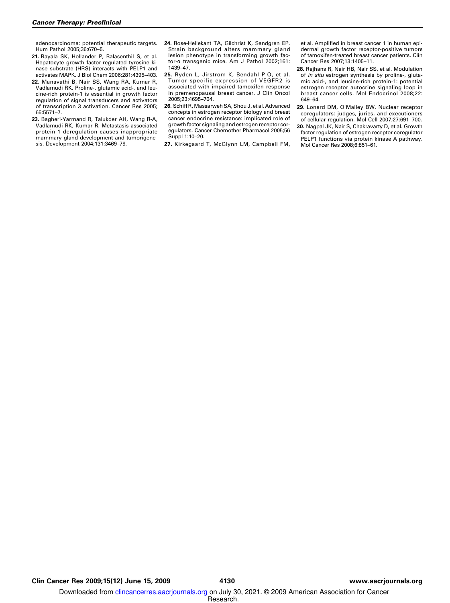adenocarcinoma: potential therapeutic targets. Hum Pathol 2005;36:670–5.

- 21. Rayala SK, Hollander P, Balasenthil S, et al. Hepatocyte growth factor-regulated tyrosine kinase substrate (HRS) interacts with PELP1 and activates MAPK. J Biol Chem 2006;281:4395–403.
- 22. Manavathi B, Nair SS, Wang RA, Kumar R, Vadlamudi RK. Proline-, glutamic acid-, and leucine-rich protein-1 is essential in growth factor regulation of signal transducers and activators of transcription 3 activation. Cancer Res 2005; 65:5571–7.
- 23. Bagheri-Yarmand R, Talukder AH, Wang R-A, Vadlamudi RK, Kumar R. Metastasis associated protein 1 deregulation causes inappropriate mammary gland development and tumorigenesis. Development 2004;131:3469–79.
- 24. Rose-Hellekant TA, Gilchrist K, Sandgren EP. Strain background alters mammary gland lesion phenotype in transforming growth factor-α transgenic mice. Am J Pathol 2002;161: 1439–47.
- 25. Ryden L, Jirstrom K, Bendahl P-O, et al. Tumor-specific expression of VEGFR2 is associated with impaired tamoxifen response in premenopausal breast cancer. J Clin Oncol 2005;23:4695–704.
- 26. Schiff R, Massarweh SA, Shou J, et al. Advanced concepts in estrogen receptor biologyand breast cancer endocrine resistance: implicated role of growth factor signaling and estrogen receptor coregulators. Cancer Chemother Pharmacol 2005;56 Suppl 1:10–20.
- 27. Kirkegaard T, McGlynn LM, Campbell FM,

et al. Amplified in breast cancer 1 in human epidermal growth factor receptor-positive tumors of tamoxifen-treated breast cancer patients. Clin Cancer Res 2007;13:1405–11.

- 28. Rajhans R, Nair HB, Nair SS, et al. Modulation of in situ estrogen synthesis by proline-, glutamic acid-, and leucine-rich protein-1: potential estrogen receptor autocrine signaling loop in breast cancer cells. Mol Endocrinol 2008;22: 649–64.
- 29. Lonard DM, O'Malley BW. Nuclear receptor coregulators: judges, juries, and executioners of cellular regulation. Mol Cell 2007;27:691–700.
- 30. Nagpal JK, Nair S, Chakravarty D, et al. Growth factor regulation of estrogen receptor coregulator PELP1 functions via protein kinase A pathway. Mol Cancer Res 2008;6:851–61.